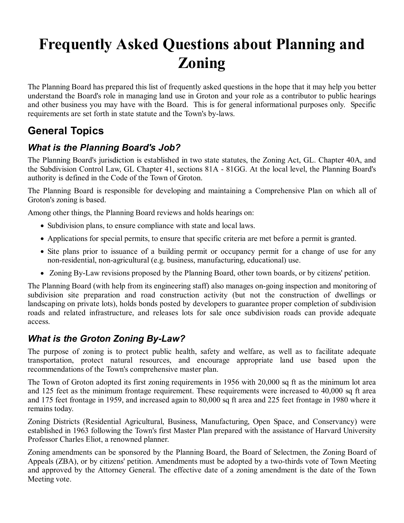# Frequently Asked Questions about Planning and Zoning

The Planning Board has prepared this list of frequently asked questions in the hope that it may help you better understand the Board's role in managing land use in Groton and your role as a contributor to public hearings and other business you may have with the Board. This is for general informational purposes only. Specific requirements are set forth in state statute and the Town's by-laws.

## General Topics

## What is the Planning Board's Job?

The Planning Board's jurisdiction is established in two state statutes, the Zoning Act, GL. Chapter 40A, and the Subdivision Control Law, GL Chapter 41, sections 81A - 81GG. At the local level, the Planning Board's authority is defined in the Code of the Town of Groton.

The Planning Board is responsible for developing and maintaining a Comprehensive Plan on which all of Groton's zoning is based.

Among other things, the Planning Board reviews and holds hearings on:

- Subdivision plans, to ensure compliance with state and local laws.
- Applications for special permits, to ensure that specific criteria are met before a permit is granted.
- Site plans prior to issuance of a building permit or occupancy permit for a change of use for any non-residential, non-agricultural (e.g. business, manufacturing, educational) use.
- Zoning By-Law revisions proposed by the Planning Board, other town boards, or by citizens' petition.

The Planning Board (with help from its engineering staff) also manages on-going inspection and monitoring of subdivision site preparation and road construction activity (but not the construction of dwellings or landscaping on private lots), holds bonds posted by developers to guarantee proper completion of subdivision roads and related infrastructure, and releases lots for sale once subdivision roads can provide adequate access.

#### What is the Groton Zoning By-Law?

The purpose of zoning is to protect public health, safety and welfare, as well as to facilitate adequate transportation, protect natural resources, and encourage appropriate land use based upon the recommendations of the Town's comprehensive master plan.

The Town of Groton adopted its first zoning requirements in 1956 with 20,000 sq ft as the minimum lot area and 125 feet as the minimum frontage requirement. These requirements were increased to 40,000 sq ft area and 175 feet frontage in 1959, and increased again to 80,000 sq ft area and 225 feet frontage in 1980 where it remains today.

Zoning Districts (Residential Agricultural, Business, Manufacturing, Open Space, and Conservancy) were established in 1963 following the Town's first Master Plan prepared with the assistance of Harvard University Professor Charles Eliot, a renowned planner.

Zoning amendments can be sponsored by the Planning Board, the Board of Selectmen, the Zoning Board of Appeals (ZBA), or by citizens' petition. Amendments must be adopted by a two-thirds vote of Town Meeting and approved by the Attorney General. The effective date of a zoning amendment is the date of the Town Meeting vote.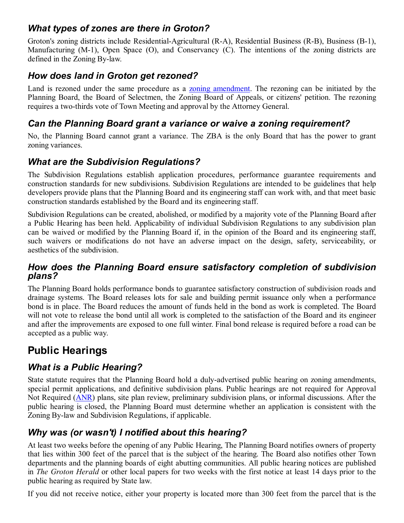#### What types of zones are there in Groton?

Groton's zoning districts include Residential-Agricultural (R-A), Residential Business (R-B), Business (B-1), Manufacturing (M-1), Open Space (O), and Conservancy (C). The intentions of the zoning districts are defined in the Zoning By-law.

#### How does land in Groton get rezoned?

Land is rezoned under the same procedure as a zoning amendment. The rezoning can be initiated by the Planning Board, the Board of Selectmen, the Zoning Board of Appeals, or citizens' petition. The rezoning requires a two-thirds vote of Town Meeting and approval by the Attorney General.

#### Can the Planning Board grant a variance or waive a zoning requirement?

No, the Planning Board cannot grant a variance. The ZBA is the only Board that has the power to grant zoning variances.

#### What are the Subdivision Regulations?

The Subdivision Regulations establish application procedures, performance guarantee requirements and construction standards for new subdivisions. Subdivision Regulations are intended to be guidelines that help developers provide plans that the Planning Board and its engineering staff can work with, and that meet basic construction standards established by the Board and its engineering staff.

Subdivision Regulations can be created, abolished, or modified by a majority vote of the Planning Board after a Public Hearing has been held. Applicability of individual Subdivision Regulations to any subdivision plan can be waived or modified by the Planning Board if, in the opinion of the Board and its engineering staff, such waivers or modifications do not have an adverse impact on the design, safety, serviceability, or aesthetics of the subdivision.

#### How does the Planning Board ensure satisfactory completion of subdivision plans?

The Planning Board holds performance bonds to guarantee satisfactory construction of subdivision roads and drainage systems. The Board releases lots for sale and building permit issuance only when a performance bond is in place. The Board reduces the amount of funds held in the bond as work is completed. The Board will not vote to release the bond until all work is completed to the satisfaction of the Board and its engineer and after the improvements are exposed to one full winter. Final bond release is required before a road can be accepted as a public way.

## Public Hearings

## What is a Public Hearing?

State statute requires that the Planning Board hold a duly-advertised public hearing on zoning amendments, special permit applications, and definitive subdivision plans. Public hearings are not required for Approval Not Required (ANR) plans, site plan review, preliminary subdivision plans, or informal discussions. After the public hearing is closed, the Planning Board must determine whether an application is consistent with the Zoning By-law and Subdivision Regulations, if applicable.

## Why was (or wasn't) I notified about this hearing?

At least two weeks before the opening of any Public Hearing, The Planning Board notifies owners of property that lies within 300 feet of the parcel that is the subject of the hearing. The Board also notifies other Town departments and the planning boards of eight abutting communities. All public hearing notices are published in The Groton Herald or other local papers for two weeks with the first notice at least 14 days prior to the public hearing as required by State law.

If you did not receive notice, either your property is located more than 300 feet from the parcel that is the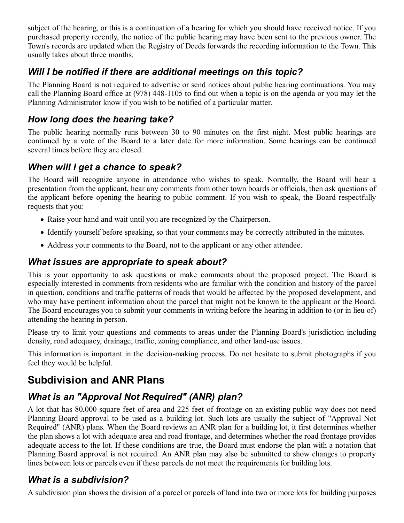subject of the hearing, or this is a continuation of a hearing for which you should have received notice. If you purchased property recently, the notice of the public hearing may have been sent to the previous owner. The Town's records are updated when the Registry of Deeds forwards the recording information to the Town. This usually takes about three months.

### Will I be notified if there are additional meetings on this topic?

The Planning Board is not required to advertise or send notices about public hearing continuations. You may call the Planning Board office at (978) 448-1105 to find out when a topic is on the agenda or you may let the Planning Administrator know if you wish to be notified of a particular matter.

### How long does the hearing take?

The public hearing normally runs between 30 to 90 minutes on the first night. Most public hearings are continued by a vote of the Board to a later date for more information. Some hearings can be continued several times before they are closed.

#### When will I get a chance to speak?

The Board will recognize anyone in attendance who wishes to speak. Normally, the Board will hear a presentation from the applicant, hear any comments from other town boards or officials, then ask questions of the applicant before opening the hearing to public comment. If you wish to speak, the Board respectfully requests that you:

- Raise your hand and wait until you are recognized by the Chairperson.
- Identify yourself before speaking, so that your comments may be correctly attributed in the minutes.
- Address your comments to the Board, not to the applicant or any other attendee.

#### What issues are appropriate to speak about?

This is your opportunity to ask questions or make comments about the proposed project. The Board is especially interested in comments from residents who are familiar with the condition and history of the parcel in question, conditions and traffic patterns of roads that would be affected by the proposed development, and who may have pertinent information about the parcel that might not be known to the applicant or the Board. The Board encourages you to submit your comments in writing before the hearing in addition to (or in lieu of) attending the hearing in person.

Please try to limit your questions and comments to areas under the Planning Board's jurisdiction including density, road adequacy, drainage, traffic, zoning compliance, and other land-use issues.

This information is important in the decision-making process. Do not hesitate to submit photographs if you feel they would be helpful.

## Subdivision and ANR Plans

## What is an "Approval Not Required" (ANR) plan?

A lot that has 80,000 square feet of area and 225 feet of frontage on an existing public way does not need Planning Board approval to be used as a building lot. Such lots are usually the subject of "Approval Not Required" (ANR) plans. When the Board reviews an ANR plan for a building lot, it first determines whether the plan shows a lot with adequate area and road frontage, and determines whether the road frontage provides adequate access to the lot. If these conditions are true, the Board must endorse the plan with a notation that Planning Board approval is not required. An ANR plan may also be submitted to show changes to property lines between lots or parcels even if these parcels do not meet the requirements for building lots.

#### What is a subdivision?

A subdivision plan shows the division of a parcel or parcels of land into two or more lots for building purposes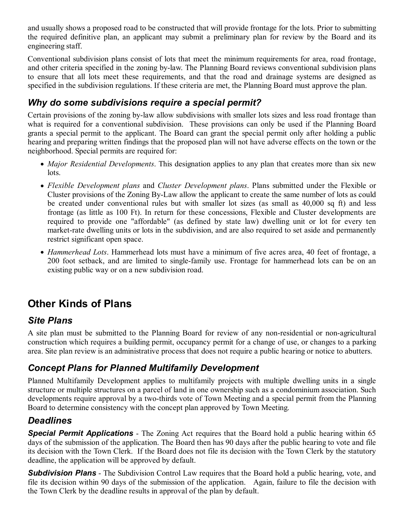and usually shows a proposed road to be constructed that will provide frontage for the lots. Prior to submitting the required definitive plan, an applicant may submit a preliminary plan for review by the Board and its engineering staff.

Conventional subdivision plans consist of lots that meet the minimum requirements for area, road frontage, and other criteria specified in the zoning by-law. The Planning Board reviews conventional subdivision plans to ensure that all lots meet these requirements, and that the road and drainage systems are designed as specified in the subdivision regulations. If these criteria are met, the Planning Board must approve the plan.

#### Why do some subdivisions require a special permit?

Certain provisions of the zoning by-law allow subdivisions with smaller lots sizes and less road frontage than what is required for a conventional subdivision. These provisions can only be used if the Planning Board grants a special permit to the applicant. The Board can grant the special permit only after holding a public hearing and preparing written findings that the proposed plan will not have adverse effects on the town or the neighborhood. Special permits are required for:

- Major Residential Developments. This designation applies to any plan that creates more than six new lots.
- Flexible Development plans and Cluster Development plans. Plans submitted under the Flexible or Cluster provisions of the Zoning By-Law allow the applicant to create the same number of lots as could be created under conventional rules but with smaller lot sizes (as small as 40,000 sq ft) and less frontage (as little as 100 Ft). In return for these concessions, Flexible and Cluster developments are required to provide one "affordable" (as defined by state law) dwelling unit or lot for every ten market-rate dwelling units or lots in the subdivision, and are also required to set aside and permanently restrict significant open space.
- Hammerhead Lots. Hammerhead lots must have a minimum of five acres area, 40 feet of frontage, a 200 foot setback, and are limited to single-family use. Frontage for hammerhead lots can be on an existing public way or on a new subdivision road.

## Other Kinds of Plans

#### Site Plans

A site plan must be submitted to the Planning Board for review of any non-residential or non-agricultural construction which requires a building permit, occupancy permit for a change of use, or changes to a parking area. Site plan review is an administrative process that does not require a public hearing or notice to abutters.

#### Concept Plans for Planned Multifamily Development

Planned Multifamily Development applies to multifamily projects with multiple dwelling units in a single structure or multiple structures on a parcel of land in one ownership such as a condominium association. Such developments require approval by a two-thirds vote of Town Meeting and a special permit from the Planning Board to determine consistency with the concept plan approved by Town Meeting.

#### **Deadlines**

**Special Permit Applications** - The Zoning Act requires that the Board hold a public hearing within 65 days of the submission of the application. The Board then has 90 days after the public hearing to vote and file its decision with the Town Clerk. If the Board does not file its decision with the Town Clerk by the statutory deadline, the application will be approved by default.

**Subdivision Plans** - The Subdivision Control Law requires that the Board hold a public hearing, vote, and file its decision within 90 days of the submission of the application. Again, failure to file the decision with the Town Clerk by the deadline results in approval of the plan by default.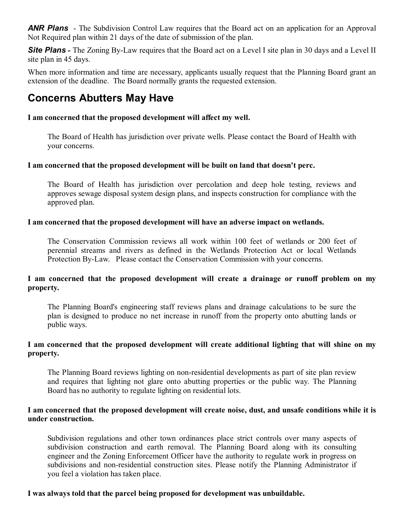**ANR Plans** - The Subdivision Control Law requires that the Board act on an application for an Approval Not Required plan within 21 days of the date of submission of the plan.

**Site Plans -** The Zoning By-Law requires that the Board act on a Level I site plan in 30 days and a Level II site plan in 45 days.

When more information and time are necessary, applicants usually request that the Planning Board grant an extension of the deadline. The Board normally grants the requested extension.

### Concerns Abutters May Have

#### I am concerned that the proposed development will affect my well.

The Board of Health has jurisdiction over private wells. Please contact the Board of Health with your concerns.

#### I am concerned that the proposed development will be built on land that doesn't perc.

The Board of Health has jurisdiction over percolation and deep hole testing, reviews and approves sewage disposal system design plans, and inspects construction for compliance with the approved plan.

#### I am concerned that the proposed development will have an adverse impact on wetlands.

The Conservation Commission reviews all work within 100 feet of wetlands or 200 feet of perennial streams and rivers as defined in the Wetlands Protection Act or local Wetlands Protection By-Law. Please contact the Conservation Commission with your concerns.

#### I am concerned that the proposed development will create a drainage or runoff problem on my property.

The Planning Board's engineering staff reviews plans and drainage calculations to be sure the plan is designed to produce no net increase in runoff from the property onto abutting lands or public ways.

#### I am concerned that the proposed development will create additional lighting that will shine on my property.

The Planning Board reviews lighting on non-residential developments as part of site plan review and requires that lighting not glare onto abutting properties or the public way. The Planning Board has no authority to regulate lighting on residential lots.

#### I am concerned that the proposed development will create noise, dust, and unsafe conditions while it is under construction.

Subdivision regulations and other town ordinances place strict controls over many aspects of subdivision construction and earth removal. The Planning Board along with its consulting engineer and the Zoning Enforcement Officer have the authority to regulate work in progress on subdivisions and non-residential construction sites. Please notify the Planning Administrator if you feel a violation has taken place.

#### I was always told that the parcel being proposed for development was unbuildable.